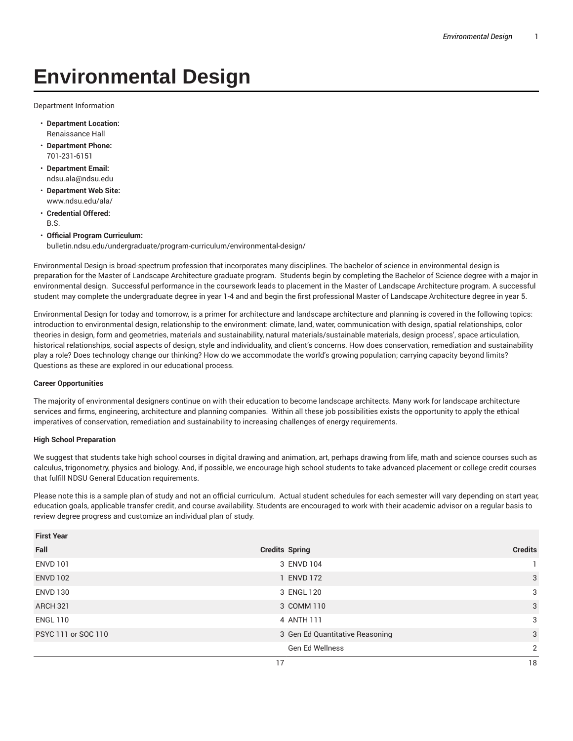## **Environmental Design**

Department Information

- **Department Location:** Renaissance Hall
- **Department Phone:** 701-231-6151
- **Department Email:** ndsu.ala@ndsu.edu
- **Department Web Site:** www.ndsu.edu/ala/
- **Credential Offered:** B.S.
- **Official Program Curriculum:** bulletin.ndsu.edu/undergraduate/program-curriculum/environmental-design/

Environmental Design is broad-spectrum profession that incorporates many disciplines. The bachelor of science in environmental design is preparation for the Master of Landscape Architecture graduate program. Students begin by completing the Bachelor of Science degree with a major in environmental design. Successful performance in the coursework leads to placement in the Master of Landscape Architecture program. A successful student may complete the undergraduate degree in year 1-4 and and begin the first professional Master of Landscape Architecture degree in year 5.

Environmental Design for today and tomorrow, is a primer for architecture and landscape architecture and planning is covered in the following topics: introduction to environmental design, relationship to the environment: climate, land, water, communication with design, spatial relationships, color theories in design, form and geometries, materials and sustainability, natural materials/sustainable materials, design process', space articulation, historical relationships, social aspects of design, style and individuality, and client's concerns. How does conservation, remediation and sustainability play a role? Does technology change our thinking? How do we accommodate the world's growing population; carrying capacity beyond limits? Questions as these are explored in our educational process.

## **Career Opportunities**

The majority of environmental designers continue on with their education to become landscape architects. Many work for landscape architecture services and firms, engineering, architecture and planning companies. Within all these job possibilities exists the opportunity to apply the ethical imperatives of conservation, remediation and sustainability to increasing challenges of energy requirements.

## **High School Preparation**

We suggest that students take high school courses in digital drawing and animation, art, perhaps drawing from life, math and science courses such as calculus, trigonometry, physics and biology. And, if possible, we encourage high school students to take advanced placement or college credit courses that fulfill NDSU General Education requirements.

Please note this is a sample plan of study and not an official curriculum. Actual student schedules for each semester will vary depending on start year, education goals, applicable transfer credit, and course availability. Students are encouraged to work with their academic advisor on a regular basis to review degree progress and customize an individual plan of study.

| <b>First Year</b>                                     |                                        |                |
|-------------------------------------------------------|----------------------------------------|----------------|
| Fall                                                  | <b>Credits Spring</b>                  | <b>Credits</b> |
| <b>ENVD 101</b>                                       | 3 ENVD 104                             |                |
| <b>ENVD 102</b>                                       | 1 ENVD 172                             | 3              |
| <b>ENVD 130</b><br><b>ARCH 321</b><br><b>ENGL 110</b> | 3 ENGL 120<br>3 COMM 110<br>4 ANTH 111 | 3              |
|                                                       |                                        | 3              |
|                                                       |                                        | 3              |
| PSYC 111 or SOC 110                                   | 3 Gen Ed Quantitative Reasoning        | 3              |
|                                                       | Gen Ed Wellness                        | 2              |
|                                                       | 17                                     | 18             |